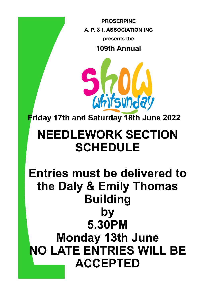**PROSERPINE** A. P. & L. ASSOCIATION INC. presents the 109th Annual



Friday 17th and Saturday 18th June 2022

# **NEEDLEWORK SECTION SCHEDULE**

**Entries must be delivered to** the Daly & Emily Thomas **Building** by **5.30PM Monday 13th June NO LATE ENTRIES WILL BE ACCEPTED**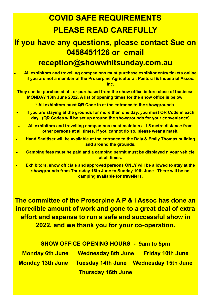# **COVID SAFE REQUIREMENTS PLEASE READ CAREFULLY**

## **If you have any questions, please contact Sue on 0458451126 or email reception@showwhitsunday.com.au**

• **All exhibitors and travelling companions must purchase exhibitor entry tickets online if you are not a member of the Proserpine Agricultural, Pastoral & Industrial Assoc. Inc.**

**They can be purchased at , or purchased from the show office before close of business MONDAY 13th June 2022. A list of opening times for the show office is below.**

**\* All exhibitors must QR Code in at the entrance to the showgrounds.**

- **If you are staying at the grounds for more than one day, you must QR Code in each day. (QR Codes will be set up around the showgrounds for your convenience)**
- **All exhibitors and travelling companions must maintain a 1.5 metre distance from other persons at all times. If you cannot do so, please wear a mask.**
- **Hand Sanitiser will be available at the entrance to the Daly & Emily Thomas building and around the grounds.**
- **Camping fees must be paid and a camping permit must be displayed n your vehicle at all times.**
- **Exhibitors, show officials and approved persons ONLY will be allowed to stay at the showgrounds from Thursday 16th June to Sunday 19th June. There will be no camping available for travellers.**

**The committee of the Proserpine A P & I Assoc has done an incredible amount of work and gone to a great deal of extra effort and expense to run a safe and successful show in 2022, and we thank you for your co-operation.**

**SHOW OFFICE OPENING HOURS - 9am to 5pm**

**Monday 6th June Wednesday 8th June Friday 10th June Monday 13th June Tuesday 14th June Wednesday 15th June Thursday 16th June**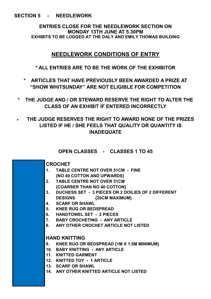#### **SECTION 5 - NEEDLEWORK**

**ENTRIES CLOSE FOR THE NEEDLEWORK SECTION ON MONDAY 13TH JUNE AT 5.30PM EXHIBITS TO BE LODGED AT THE DALY AND EMILY THOMAS BUILDING**

#### **NEEDLEWORK CONDITIONS OF ENTRY**

**\* ALL ENTRIES ARE TO BE THE WORK OF THE EXHIBITOR**

- **\* ARTICLES THAT HAVE PREVIOUSLY BEEN AWARDED A PRIZE AT "SHOW WHITSUNDAY" ARE NOT ELIGIBLE FOR COMPETITION**
- **\* THE JUDGE AND / OR STEWARD RESERVE THE RIGHT TO ALTER THE CLASS OF AN EXHIBIT IF ENTERED INCORRECTLY**
- **THE JUDGE RESERVES THE RIGHT TO AWARD NONE OF THE PRIZES LISTED IF HE / SHE FEELS THAT QUALITY OR QUANTITY IS INADEQUATE**

**OPEN CLASSES - CLASSES 1 TO 45**

#### **CROCHET**

- **1. TABLE CENTRE NOT OVER 51CM - FINE {NO 40 COTTON AND UPWARDS}**
- **2. TABLE CENTRE NOT OVER 51CM {COARSER THAN NO 40 COTTON}**
- **3. DUCHESS SET - 3 PIECES OR 2 DOILIES OF 2 DIFFERENT DESIGNS {20CM MAXIMUM}**
- **4. SCARF OR SHAWL**
- **5. KNEE RUG OR BEDSPREAD**
- **6. HANDTOWEL SET - 2 PIECES**
- **7. BABY CROCHETING - ANY ARTICLE**
- **8. ANY OTHER CROCHET ARTICLE NOT LISTED**

#### **HAND KNITTING**

- **9. KNEE RUG OR BEDSPREAD {1M X 1.5M MINIMUM}**
- **10. BABY KNITTING - ANY ARTICLE**
- **11. KNITTED GARMENT**
- **12. KNITTED TOY - 1 ARTICLE**
- **13. SCARF OR SHAWL**
- **14. ANY OTHER KNITTED ARTICLE NOT LISTED**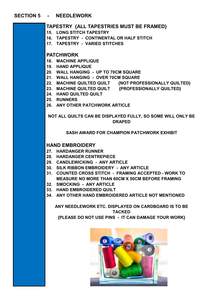#### **SECTION 5 - NEEDLEWORK**

### **TAPESTRY {ALL TAPESTRIES MUST BE FRAMED} 15. LONG STITCH TAPESTRY 16. TAPESTRY - CONTINENTAL OR HALF STITCH 17. TAPESTRY - VARIED STITCHES PATCHWORK 18. MACHINE APPLIQUE 19. HAND APPLIQUE 20. WALL HANGING - UP TO 70CM SQUARE 21. WALL HANGING - OVER 70CM SQUARE 22. MACHINE QUILTED QUILT {NOT PROFESSIONALLY QUILTED} 23. MACHINE QUILTED QUILT {PROFESSIONALLY QUILTED} 24. HAND QUILTED QUILT 25. RUNNERS 26. ANY OTHER PATCHWORK ARTICLE NOT ALL QUILTS CAN BE DISPLAYED FULLY, SO SOME WILL ONLY BE DRAPED SASH AWARD FOR CHAMPION PATCHWORK EXHIBIT HAND EMBROIDERY 27. HARDANGER RUNNER 28. HARDANGER CENTREPIECE 29. CANDLEWICKING - ANY ARTICLE 30. SILK RIBBON EMBROIDERY - ANY ARTICLE 31. COUNTED CROSS STITCH - FRAMING ACCEPTED - WORK TO MEASURE NO MORE THAN 60CM X 50CM BEFORE FRAMING 32. SMOCKING - ANY ARTICLE 33. HAND EMBROIDERED QUILT 34. ANY OTHER HAND EMBROIDERED ARTICLE NOT MENTIONED ANY NEEDLEWORK ETC. DISPLAYED ON CARDBOARD IS TO BE TACKED {PLEASE DO NOT USE PINS - IT CAN DAMAGE YOUR WORK}**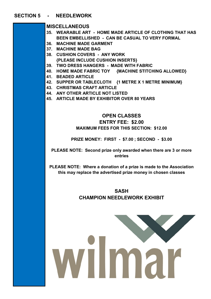#### **SECTION 5 - NEEDLEWORK**

#### **MISCELLANEOUS**

- **35. WEARABLE ART - HOME MADE ARTICLE OF CLOTHING THAT HAS BEEN EMBELLISHED - CAN BE CASUAL TO VERY FORMAL**
- **36. MACHINE MADE GARMENT**
- **37. MACHINE MADE BAG**
- **38. CUSHION COVERS - ANY WORK**
	- **{PLEASE INCLUDE CUSHION INSERTS}**
- **39. TWO DRESS HANGERS - MADE WITH FABRIC**
- **40. HOME MADE FABRIC TOY {MACHINE STITCHING ALLOWED}**
- **41. BEADED ARTICLE**
- **42. SUPPER OR TABLECLOTH {1 METRE X 1 METRE MINIMUM}**
- **43. CHRISTMAS CRAFT ARTICLE**
- **44. ANY OTHER ARTICLE NOT LISTED**
- **45. ARTICLE MADE BY EXHIBITOR OVER 80 YEARS**

#### **OPEN CLASSES ENTRY FEE: \$2.00**

#### **MAXIMUM FEES FOR THIS SECTION: \$12.00**

**PRIZE MONEY: FIRST - \$7.00 ; SECOND - \$3.00**

**PLEASE NOTE: Second prize only awarded when there are 3 or more entries**

**PLEASE NOTE: Where a donation of a prize is made to the Association this may replace the advertised prize money in chosen classes**

> **SASH CHAMPION NEEDLEWORK EXHIBIT**

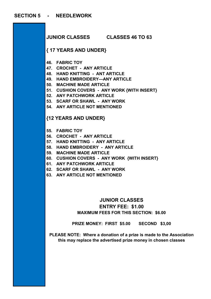**JUNIOR CLASSES CLASSES 46 TO 63**

#### **{ 17 YEARS AND UNDER}**

- **46. FABRIC TOY**
- **47. CROCHET - ANY ARTICLE**
- **48. HAND KNITTING - ANT ARTICLE**
- **49. HAND EMBROIDERY—ANY ARTICLE**
- **50. MACHINE MADE ARTICLE**
- **51. CUSHION COVERS - ANY WORK {WITH INSERT}**
- **52. ANY PATCHWORK ARTICLE**
- **53. SCARF OR SHAWL - ANY WORK**
- **54. ANY ARTICLE NOT MENTIONED**

#### **{12 YEARS AND UNDER}**

- **55. FABRIC TOY**
- **56. CROCHET - ANY ARTICLE**
- **57. HAND KNITTING - ANY ARTICLE**
- **58. HAND EMBROIDERY - ANY ARTICLE**
- **59. MACHINE MADE ARTICLE**
- **60. CUSHION COVERS - ANY WORK {WITH INSERT}**
- **61. ANY PATCHWORK ARTICLE**
- **62. SCARF OR SHAWL - ANY WORK**
- **63. ANY ARTICLE NOT MENTIONED**

#### **JUNIOR CLASSES**

#### **ENTRY FEE: \$1.00 MAXIMUM FEES FOR THIS SECTION: \$6.00**

**PRIZE MONEY: FIRST \$5.00 SECOND \$3,00**

**PLEASE NOTE: Where a donation of a prize is made to the Association this may replace the advertised prize money in chosen classes**